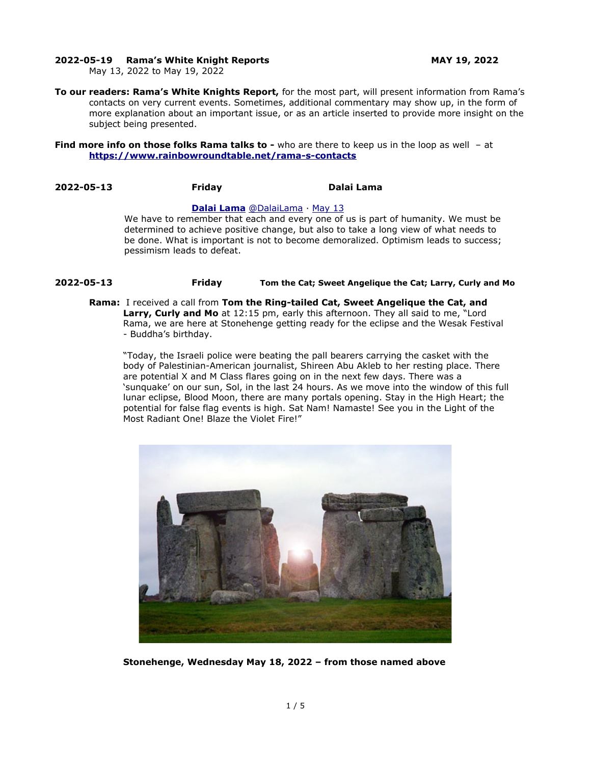### **2022-05-19 Rama's White Knight Reports MAY 19, 2022**

May 13, 2022 to May 19, 2022

**To our readers: Rama's White Knights Report,** for the most part, will present information from Rama's contacts on very current events. Sometimes, additional commentary may show up, in the form of more explanation about an important issue, or as an article inserted to provide more insight on the subject being presented.

### **Find more info on those folks Rama talks to -** who are there to keep us in the loop as well - at **<https://www.rainbowroundtable.net/rama-s-contacts>**

# **2022-05-13 Friday Dalai Lama**

### **[Dalai Lama](https://twitter.com/DalaiLama)** [@DalaiLama](https://twitter.com/DalaiLama) · [May 13](https://twitter.com/DalaiLama/status/1525046090172858368)

We have to remember that each and every one of us is part of humanity. We must be determined to achieve positive change, but also to take a long view of what needs to be done. What is important is not to become demoralized. Optimism leads to success; pessimism leads to defeat.

# **2022-05-13 Friday Tom the Cat; Sweet Angelique the Cat; Larry, Curly and Mo**

**Rama:** I received a call from **Tom the Ring-tailed Cat, Sweet Angelique the Cat, and Larry, Curly and Mo** at 12:15 pm, early this afternoon. They all said to me, "Lord Rama, we are here at Stonehenge getting ready for the eclipse and the Wesak Festival - Buddha's birthday.

"Today, the Israeli police were beating the pall bearers carrying the casket with the body of Palestinian-American journalist, Shireen Abu Akleb to her resting place. There are potential X and M Class flares going on in the next few days. There was a 'sunquake' on our sun, Sol, in the last 24 hours. As we move into the window of this full lunar eclipse, Blood Moon, there are many portals opening. Stay in the High Heart; the potential for false flag events is high. Sat Nam! Namaste! See you in the Light of the Most Radiant One! Blaze the Violet Fire!"



**Stonehenge, Wednesday May 18, 2022 – from those named above**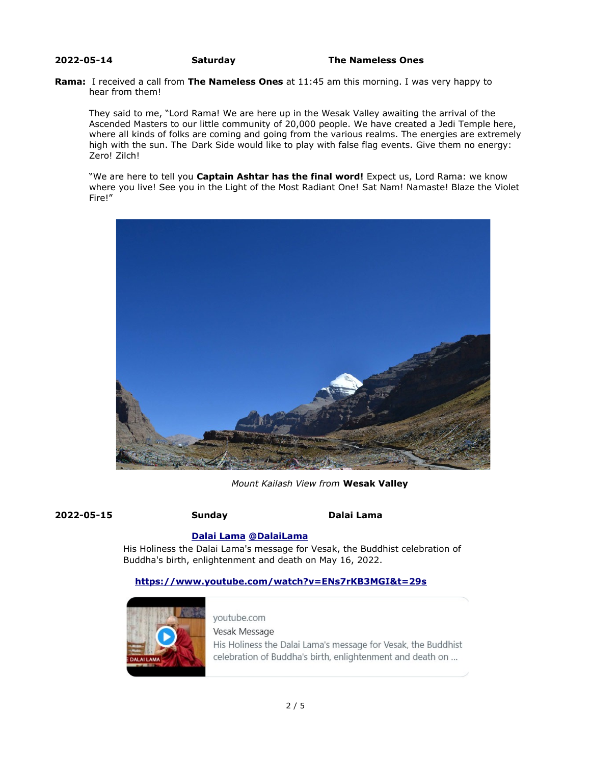### **2022-05-14 Saturday The Nameless Ones**

### **Rama:** I received a call from **The Nameless Ones** at 11:45 am this morning. I was very happy to hear from them!

They said to me, "Lord Rama! We are here up in the Wesak Valley awaiting the arrival of the Ascended Masters to our little community of 20,000 people. We have created a Jedi Temple here, where all kinds of folks are coming and going from the various realms. The energies are extremely high with the sun. The Dark Side would like to play with false flag events. Give them no energy: Zero! Zilch!

"We are here to tell you **Captain Ashtar has the final word!** Expect us, Lord Rama: we know where you live! See you in the Light of the Most Radiant One! Sat Nam! Namaste! Blaze the Violet Fire!"



 *Mount Kailash View from* **Wesak Valley**

**2022-05-15 Sunday Dalai Lama**

# **[Dalai Lama](https://twitter.com/DalaiLama) [@DalaiLama](https://twitter.com/DalaiLama)**

His Holiness the Dalai Lama's message for Vesak, the Buddhist celebration of Buddha's birth, enlightenment and death on May 16, 2022.

# **<https://www.youtube.com/watch?v=ENs7rKB3MGI&t=29s>**



youtube.com Vesak Message His Holiness the Dalai Lama's message for Vesak, the Buddhist celebration of Buddha's birth, enlightenment and death on ...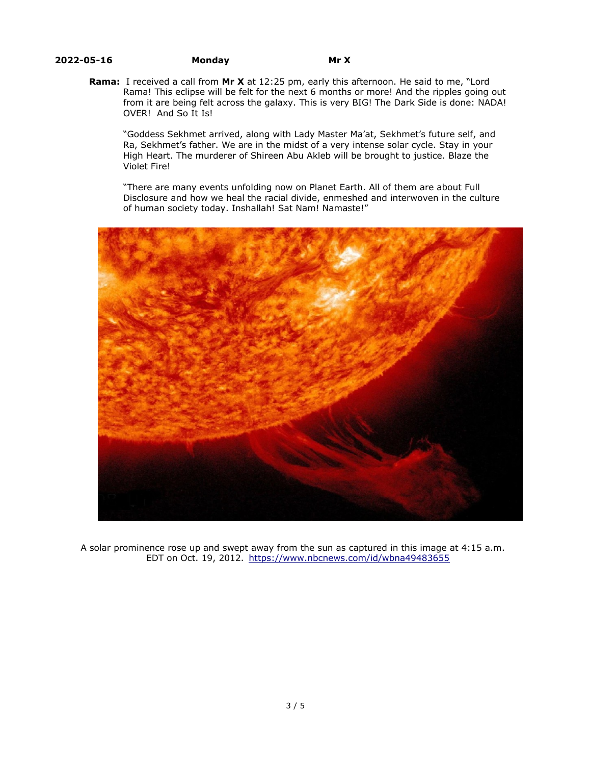### **2022-05-16 Monday Mr X**

**Rama:** I received a call from **Mr X** at 12:25 pm, early this afternoon. He said to me, "Lord Rama! This eclipse will be felt for the next 6 months or more! And the ripples going out from it are being felt across the galaxy. This is very BIG! The Dark Side is done: NADA! OVER! And So It Is!

"Goddess Sekhmet arrived, along with Lady Master Ma'at, Sekhmet's future self, and Ra, Sekhmet's father. We are in the midst of a very intense solar cycle. Stay in your High Heart. The murderer of Shireen Abu Akleb will be brought to justice. Blaze the Violet Fire!

"There are many events unfolding now on Planet Earth. All of them are about Full Disclosure and how we heal the racial divide, enmeshed and interwoven in the culture of human society today. Inshallah! Sat Nam! Namaste!"



 A solar prominence rose up and swept away from the sun as captured in this image at 4:15 a.m. EDT on Oct. 19, 2012. <https://www.nbcnews.com/id/wbna49483655>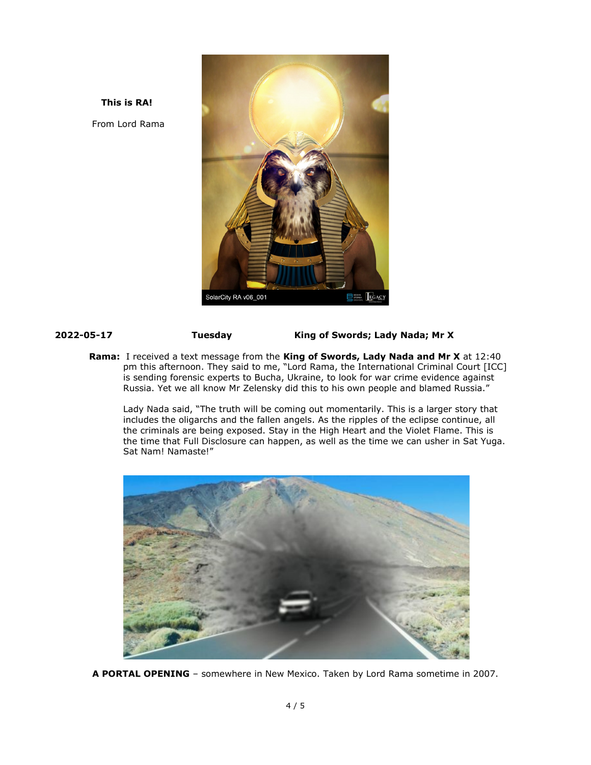**This is RA!**  From Lord Rama



**2022-05-17 Tuesday King of Swords; Lady Nada; Mr X** 

**Rama:** I received a text message from the **King of Swords, Lady Nada and Mr X** at 12:40 pm this afternoon. They said to me, "Lord Rama, the International Criminal Court [ICC] is sending forensic experts to Bucha, Ukraine, to look for war crime evidence against Russia. Yet we all know Mr Zelensky did this to his own people and blamed Russia."

Lady Nada said, "The truth will be coming out momentarily. This is a larger story that includes the oligarchs and the fallen angels. As the ripples of the eclipse continue, all the criminals are being exposed. Stay in the High Heart and the Violet Flame. This is the time that Full Disclosure can happen, as well as the time we can usher in Sat Yuga. Sat Nam! Namaste!"



**A PORTAL OPENING** – somewhere in New Mexico. Taken by Lord Rama sometime in 2007.